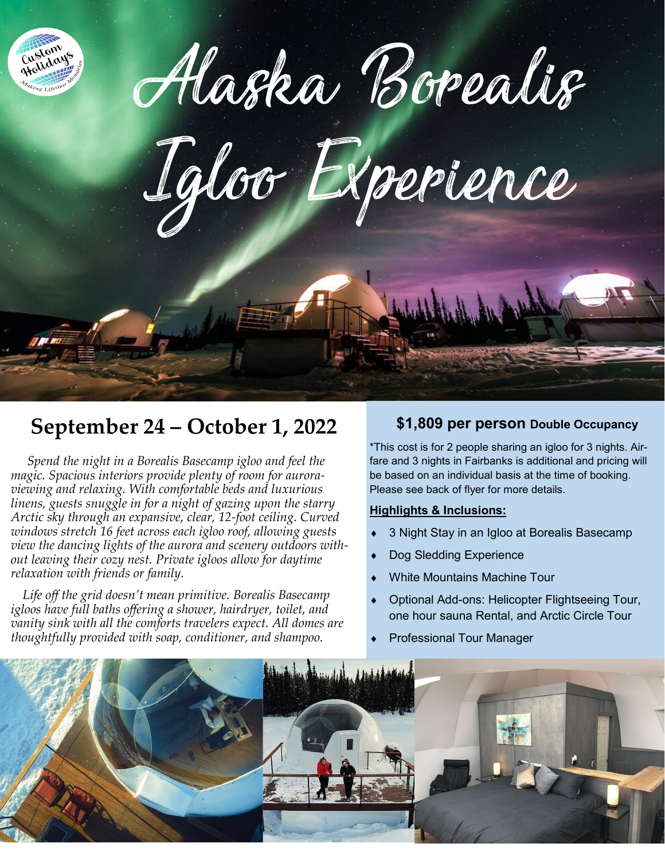

Alaska Borealis

Igloo Experience

## **September 24 – October 1, 2022**

 *Spend the night in a Borealis Basecamp igloo and feel the magic. Spacious interiors provide plenty of room for auroraviewing and relaxing. With comfortable beds and luxurious linens, guests snuggle in for a night of gazing upon the starry Arctic sky through an expansive, clear, 12-foot ceiling. Curved windows stretch 16 feet across each igloo roof, allowing guests view the dancing lights of the aurora and scenery outdoors without leaving their cozy nest. Private igloos allow for daytime relaxation with friends or family.*

 *Life off the grid doesn't mean primitive. Borealis Basecamp igloos have full baths offering a shower, hairdryer, toilet, and vanity sink with all the comforts travelers expect. All domes are thoughtfully provided with soap, conditioner, and shampoo.*

### **\$1,809 per person Double Occupancy**

\*This cost is for 2 people sharing an igloo for 3 nights. Airfare and 3 nights in Fairbanks is additional and pricing will be based on an individual basis at the time of booking. Please see back of flyer for more details.

### **Highlights & Inclusions:**

- 3 Night Stay in an Igloo at Borealis Basecamp
- Dog Sledding Experience
- White Mountains Machine Tour
- Optional Add-ons: Helicopter Flightseeing Tour, one hour sauna Rental, and Arctic Circle Tour
- Professional Tour Manager